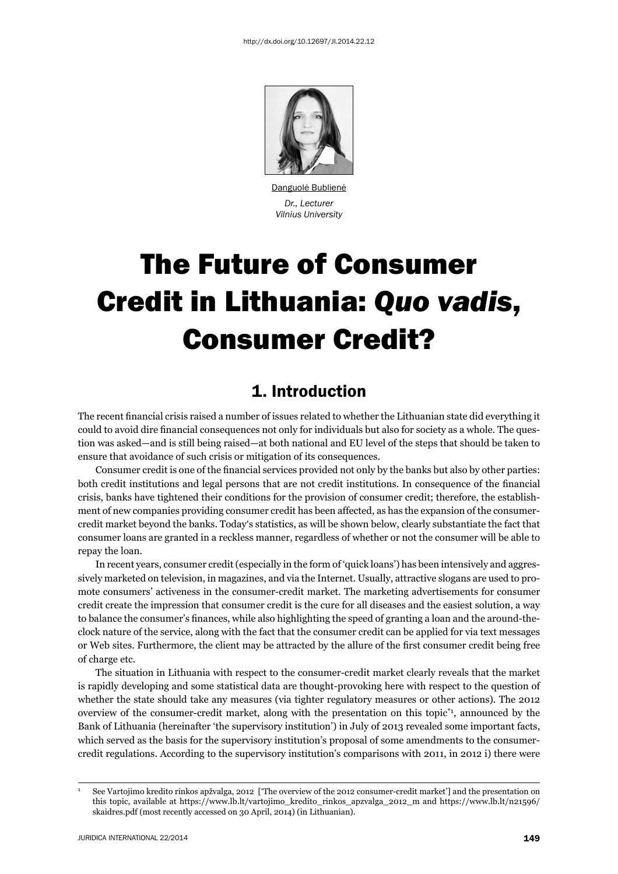

Danguolė Bublienė *Dr., Lecturer Vilnius University*

# The Future of Consumer Credit in Lithuania: *Quo vadis*, Consumer Credit?

## 1. Introduction

The recent financial crisis raised a number of issues related to whether the Lithuanian state did everything it could to avoid dire financial consequences not only for individuals but also for society as a whole. The question was asked—and is still being raised—at both national and EU level of the steps that should be taken to ensure that avoidance of such crisis or mitigation of its consequences.

Consumer credit is one of the financial services provided not only by the banks but also by other parties: both credit institutions and legal persons that are not credit institutions. In consequence of the financial crisis, banks have tightened their conditions for the provision of consumer credit; therefore, the establishment of new companies providing consumer credit has been affected, as has the expansion of the consumercredit market beyond the banks. Today's statistics, as will be shown below, clearly substantiate the fact that consumer loans are granted in a reckless manner, regardless of whether or not the consumer will be able to repay the loan.

In recent years, consumer credit (especially in the form of 'quick loans') has been intensively and aggressively marketed on television, in magazines, and via the Internet. Usually, attractive slogans are used to promote consumers' activeness in the consumer-credit market. The marketing advertisements for consumer credit create the impression that consumer credit is the cure for all diseases and the easiest solution, a way to balance the consumer's finances, while also highlighting the speed of granting a loan and the around-theclock nature of the service, along with the fact that the consumer credit can be applied for via text messages or Web sites. Furthermore, the client may be attracted by the allure of the first consumer credit being free of charge etc.

The situation in Lithuania with respect to the consumer-credit market clearly reveals that the market is rapidly developing and some statistical data are thought-provoking here with respect to the question of whether the state should take any measures (via tighter regulatory measures or other actions). The 2012 overview of the consumer-credit market, along with the presentation on this topic\*1, announced by the Bank of Lithuania (hereinafter 'the supervisory institution') in July of 2013 revealed some important facts, which served as the basis for the supervisory institution's proposal of some amendments to the consumercredit regulations. According to the supervisory institution's comparisons with 2011, in 2012 i) there were

1

See Vartojimo kredito rinkos apžvalga, 2012 ['The overview of the 2012 consumer-credit market'] and the presentation on this topic, available at https://www.lb.lt/vartojimo\_kredito\_rinkos\_apzvalga\_2012\_m and https://www.lb.lt/n21596/ skaidres.pdf (most recently accessed on 30 April, 2014) (in Lithuanian).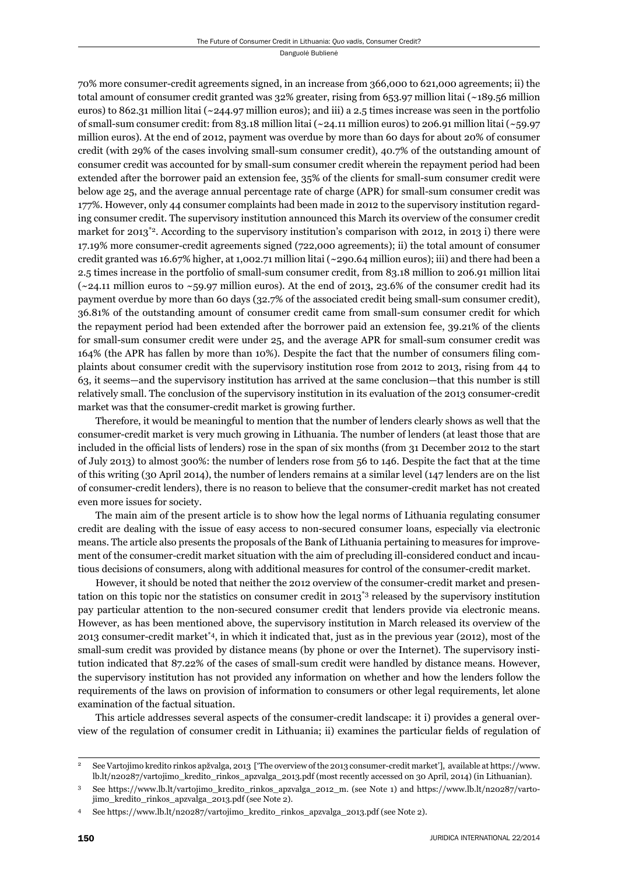70% more consumer-credit agreements signed, in an increase from 366,000 to 621,000 agreements; ii) the total amount of consumer credit granted was 32% greater, rising from 653.97 million litai (~189.56 million euros) to 862.31 million litai ( $\sim$ 244.97 million euros); and iii) a 2.5 times increase was seen in the portfolio of small-sum consumer credit: from 83.18 million litai (~24.11 million euros) to 206.91 million litai (~59.97 million euros). At the end of 2012, payment was overdue by more than 60 days for about 20% of consumer credit (with 29% of the cases involving small-sum consumer credit), 40.7% of the outstanding amount of consumer credit was accounted for by small-sum consumer credit wherein the repayment period had been extended after the borrower paid an extension fee, 35% of the clients for small-sum consumer credit were below age 25, and the average annual percentage rate of charge (APR) for small-sum consumer credit was 177%. However, only 44 consumer complaints had been made in 2012 to the supervisory institution regarding consumer credit. The supervisory institution announced this March its overview of the consumer credit market for  $2013^{\ast}$ <sup>2</sup>. According to the supervisory institution's comparison with 2012, in 2013 i) there were 17.19% more consumer-credit agreements signed (722,000 agreements); ii) the total amount of consumer credit granted was 16.67% higher, at 1,002.71 million litai (~290.64 million euros); iii) and there had been a 2.5 times increase in the portfolio of small-sum consumer credit, from 83.18 million to 206.91 million litai ( $\sim$ 24.11 million euros to  $\sim$ 59.97 million euros). At the end of 2013, 23.6% of the consumer credit had its payment overdue by more than 60 days (32.7% of the associated credit being small-sum consumer credit), 36.81% of the outstanding amount of consumer credit came from small-sum consumer credit for which the repayment period had been extended after the borrower paid an extension fee, 39.21% of the clients for small-sum consumer credit were under 25, and the average APR for small-sum consumer credit was 164% (the APR has fallen by more than 10%). Despite the fact that the number of consumers filing complaints about consumer credit with the supervisory institution rose from 2012 to 2013, rising from 44 to 63, it seems—and the supervisory institution has arrived at the same conclusion—that this number is still relatively small. The conclusion of the supervisory institution in its evaluation of the 2013 consumer-credit market was that the consumer-credit market is growing further.

Therefore, it would be meaningful to mention that the number of lenders clearly shows as well that the consumer-credit market is very much growing in Lithuania. The number of lenders (at least those that are included in the official lists of lenders) rose in the span of six months (from 31 December 2012 to the start of July 2013) to almost 300%: the number of lenders rose from 56 to 146. Despite the fact that at the time of this writing (30 April 2014), the number of lenders remains at a similar level (147 lenders are on the list of consumer-credit lenders), there is no reason to believe that the consumer-credit market has not created even more issues for society.

The main aim of the present article is to show how the legal norms of Lithuania regulating consumer credit are dealing with the issue of easy access to non-secured consumer loans, especially via electronic means. The article also presents the proposals of the Bank of Lithuania pertaining to measures for improvement of the consumer-credit market situation with the aim of precluding ill-considered conduct and incautious decisions of consumers, along with additional measures for control of the consumer-credit market.

However, it should be noted that neither the 2012 overview of the consumer-credit market and presentation on this topic nor the statistics on consumer credit in 2013\*3 released by the supervisory institution pay particular attention to the non-secured consumer credit that lenders provide via electronic means. However, as has been mentioned above, the supervisory institution in March released its overview of the 2013 consumer-credit market\*4, in which it indicated that, just as in the previous year (2012), most of the small-sum credit was provided by distance means (by phone or over the Internet). The supervisory institution indicated that 87.22% of the cases of small-sum credit were handled by distance means. However, the supervisory institution has not provided any information on whether and how the lenders follow the requirements of the laws on provision of information to consumers or other legal requirements, let alone examination of the factual situation.

This article addresses several aspects of the consumer-credit landscape: it i) provides a general overview of the regulation of consumer credit in Lithuania; ii) examines the particular fields of regulation of

<sup>2</sup> See Vartojimo kredito rinkos apžvalga, 2013 ['The overview of the 2013 consumer-credit market'], available at https://www. lb.lt/n20287/vartojimo\_kredito\_rinkos\_apzvalga\_2013.pdf (most recently accessed on 30 April, 2014) (in Lithuanian).

<sup>3</sup> See https://www.lb.lt/vartojimo\_kredito\_rinkos\_apzvalga\_2012\_m. (see Note 1) and https://www.lb.lt/n20287/vartojimo\_kredito\_rinkos\_apzvalga\_2013.pdf (see Note 2).

<sup>4</sup> See https://www.lb.lt/n20287/vartojimo\_kredito\_rinkos\_apzvalga\_2013.pdf (see Note 2).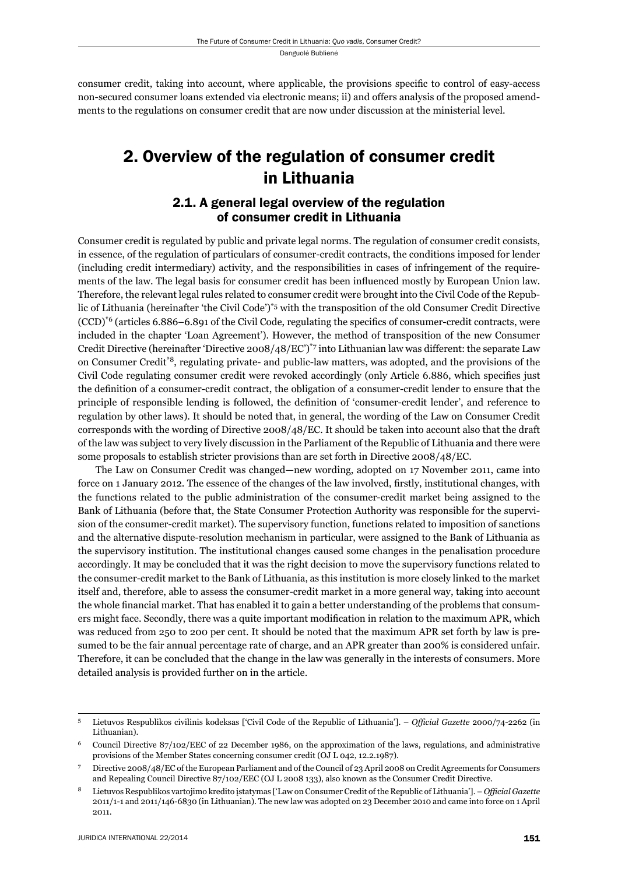consumer credit, taking into account, where applicable, the provisions specific to control of easy-access non-secured consumer loans extended via electronic means; ii) and offers analysis of the proposed amendments to the regulations on consumer credit that are now under discussion at the ministerial level.

# 2. Overview of the regulation of consumer credit in Lithuania

## 2.1. A general legal overview of the regulation of consumer credit in Lithuania

Consumer credit is regulated by public and private legal norms. The regulation of consumer credit consists, in essence, of the regulation of particulars of consumer-credit contracts, the conditions imposed for lender (including credit intermediary) activity, and the responsibilities in cases of infringement of the requirements of the law. The legal basis for consumer credit has been influenced mostly by European Union law. Therefore, the relevant legal rules related to consumer credit were brought into the Civil Code of the Republic of Lithuania (hereinafter 'the Civil Code')\*5 with the transposition of the old Consumer Credit Directive  $(CCD)^{6}$  (articles 6.886–6.891 of the Civil Code, regulating the specifics of consumer-credit contracts, were included in the chapter 'Loan Agreement'). However, the method of transposition of the new Consumer Credit Directive (hereinafter 'Directive 2008/48/EC')\*7 into Lithuanian law was different: the separate Law on Consumer Credit\*8, regulating private- and public-law matters, was adopted, and the provisions of the Civil Code regulating consumer credit were revoked accordingly (only Article 6.886, which specifies just the definition of a consumer-credit contract, the obligation of a consumer-credit lender to ensure that the principle of responsible lending is followed, the definition of 'consumer-credit lender', and reference to regulation by other laws). It should be noted that, in general, the wording of the Law on Consumer Credit corresponds with the wording of Directive 2008/48/EC. It should be taken into account also that the draft of the law was subject to very lively discussion in the Parliament of the Republic of Lithuania and there were some proposals to establish stricter provisions than are set forth in Directive 2008/48/EC.

The Law on Consumer Credit was changed—new wording, adopted on 17 November 2011, came into force on 1 January 2012. The essence of the changes of the law involved, firstly, institutional changes, with the functions related to the public administration of the consumer-credit market being assigned to the Bank of Lithuania (before that, the State Consumer Protection Authority was responsible for the supervision of the consumer-credit market). The supervisory function, functions related to imposition of sanctions and the alternative dispute-resolution mechanism in particular, were assigned to the Bank of Lithuania as the supervisory institution. The institutional changes caused some changes in the penalisation procedure accordingly. It may be concluded that it was the right decision to move the supervisory functions related to the consumer-credit market to the Bank of Lithuania, as this institution is more closely linked to the market itself and, therefore, able to assess the consumer-credit market in a more general way, taking into account the whole financial market. That has enabled it to gain a better understanding of the problems that consumers might face. Secondly, there was a quite important modification in relation to the maximum APR, which was reduced from 250 to 200 per cent. It should be noted that the maximum APR set forth by law is presumed to be the fair annual percentage rate of charge, and an APR greater than 200% is considered unfair. Therefore, it can be concluded that the change in the law was generally in the interests of consumers. More detailed analysis is provided further on in the article.

<sup>&</sup>lt;sup>5</sup> Lietuvos Respublikos civilinis kodeksas ['Civil Code of the Republic of Lithuania']. – *Official Gazette* 2000/74-2262 (in Lithuanian).

<sup>6</sup> Council Directive 87/102/EEC of 22 December 1986, on the approximation of the laws, regulations, and administrative provisions of the Member States concerning consumer credit (OJ L 042, 12.2.1987).

<sup>7</sup> Directive 2008/48/EC of the European Parliament and of the Council of 23 April 2008 on Credit Agreements for Consumers and Repealing Council Directive 87/102/EEC (OJ L 2008 133), also known as the Consumer Credit Directive.

Lietuvos Respublikos vartojimo kredito įstatymas ['Law on Consumer Credit of the Republic of Lithuania']. – Official Gazette 2011/1-1 and 2011/146-6830 (in Lithuanian). The new law was adopted on 23 December 2010 and came into force on 1 April 2011.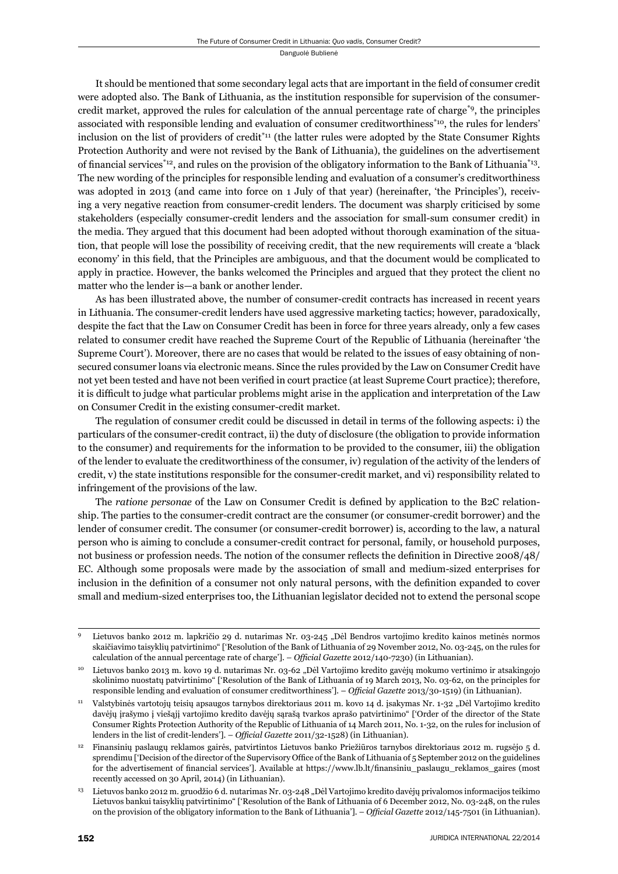It should be mentioned that some secondary legal acts that are important in the field of consumer credit were adopted also. The Bank of Lithuania, as the institution responsible for supervision of the consumercredit market, approved the rules for calculation of the annual percentage rate of charge\*9, the principles associated with responsible lending and evaluation of consumer creditworthiness\*10, the rules for lenders' inclusion on the list of providers of credit\*11 (the latter rules were adopted by the State Consumer Rights Protection Authority and were not revised by the Bank of Lithuania), the guidelines on the advertisement of financial services<sup>\*12</sup>, and rules on the provision of the obligatory information to the Bank of Lithuania<sup>\*13</sup>. The new wording of the principles for responsible lending and evaluation of a consumer's creditworthiness was adopted in 2013 (and came into force on 1 July of that year) (hereinafter, 'the Principles'), receiving a very negative reaction from consumer-credit lenders. The document was sharply criticised by some stakeholders (especially consumer-credit lenders and the association for small-sum consumer credit) in the media. They argued that this document had been adopted without thorough examination of the situation, that people will lose the possibility of receiving credit, that the new requirements will create a 'black economy' in this field, that the Principles are ambiguous, and that the document would be complicated to apply in practice. However, the banks welcomed the Principles and argued that they protect the client no matter who the lender is—a bank or another lender.

As has been illustrated above, the number of consumer-credit contracts has increased in recent years in Lithuania. The consumer-credit lenders have used aggressive marketing tactics; however, paradoxically, despite the fact that the Law on Consumer Credit has been in force for three years already, only a few cases related to consumer credit have reached the Supreme Court of the Republic of Lithuania (hereinafter 'the Supreme Court'). Moreover, there are no cases that would be related to the issues of easy obtaining of nonsecured consumer loans via electronic means. Since the rules provided by the Law on Consumer Credit have not yet been tested and have not been verified in court practice (at least Supreme Court practice); therefore, it is difficult to judge what particular problems might arise in the application and interpretation of the Law on Consumer Credit in the existing consumer-credit market.

The regulation of consumer credit could be discussed in detail in terms of the following aspects: i) the particulars of the consumer-credit contract, ii) the duty of disclosure (the obligation to provide information to the consumer) and requirements for the information to be provided to the consumer, iii) the obligation of the lender to evaluate the creditworthiness of the consumer, iv) regulation of the activity of the lenders of credit, v) the state institutions responsible for the consumer-credit market, and vi) responsibility related to infringement of the provisions of the law.

The *ratione personae* of the Law on Consumer Credit is defined by application to the B2C relationship. The parties to the consumer-credit contract are the consumer (or consumer-credit borrower) and the lender of consumer credit. The consumer (or consumer-credit borrower) is, according to the law, a natural person who is aiming to conclude a consumer-credit contract for personal, family, or household purposes, not business or profession needs. The notion of the consumer reflects the definition in Directive 2008/48/ EC. Although some proposals were made by the association of small and medium-sized enterprises for inclusion in the definition of a consumer not only natural persons, with the definition expanded to cover small and medium-sized enterprises too, the Lithuanian legislator decided not to extend the personal scope

Lietuvos banko 2012 m. lapkričio 29 d. nutarimas Nr. 03-245 "Dėl Bendros vartojimo kredito kainos metinės normos skaičiavimo taisyklių patvirtinimo" ['Resolution of the Bank of Lithuania of 29 November 2012, No. 03-245, on the rules for calculation of the annual percentage rate of charge']. – *Official Gazette* 2012/140-7230) (in Lithuanian).

Lietuvos banko 2013 m. kovo 19 d. nutarimas Nr. 03-62 "Dėl Vartojimo kredito gavėjų mokumo vertinimo ir atsakingojo skolinimo nuostatų patvirtinimo" ['Resolution of the Bank of Lithuania of 19 March 2013, No. 03-62, on the principles for responsible lending and evaluation of consumer creditworthiness']. – *Official Gazette* 2013/30-1519) (in Lithuanian).

<sup>&</sup>lt;sup>11</sup> Valstybinės vartotojų teisių apsaugos tarnybos direktoriaus 2011 m. kovo 14 d. įsakymas Nr. 1-32 "Dėl Vartojimo kredito davėjų įrašymo į viešąjį vartojimo kredito davėjų sąrašą tvarkos aprašo patvirtinimo" ['Order of the director of the State Consumer Rights Protection Authority of the Republic of Lithuania of 14 March 2011, No. 1-32, on the rules for inclusion of lenders in the list of credit-lenders']. – *Official Gazette* 2011/32-1528) (in Lithuanian).

<sup>12</sup> Finansinių paslaugų reklamos gairės, patvirtintos Lietuvos banko Priežiūros tarnybos direktoriaus 2012 m. rugsėjo 5 d. sprendimu ['Decision of the director of the Supervisory Office of the Bank of Lithuania of 5 September 2012 on the guidelines for the advertisement of financial services']. Available at https://www.lb.lt/finansiniu\_paslaugu\_reklamos\_gaires (most recently accessed on 30 April, 2014) (in Lithuanian).

<sup>&</sup>lt;sup>13</sup> Lietuvos banko 2012 m. gruodžio 6 d. nutarimas Nr. 03-248 "Dėl Vartojimo kredito davėjų privalomos informacijos teikimo Lietuvos bankui taisyklių patvirtinimo" ['Resolution of the Bank of Lithuania of 6 December 2012, No. 03-248, on the rules on the provision of the obligatory information to the Bank of Lithuania']. – Official Gazette 2012/145-7501 (in Lithuanian).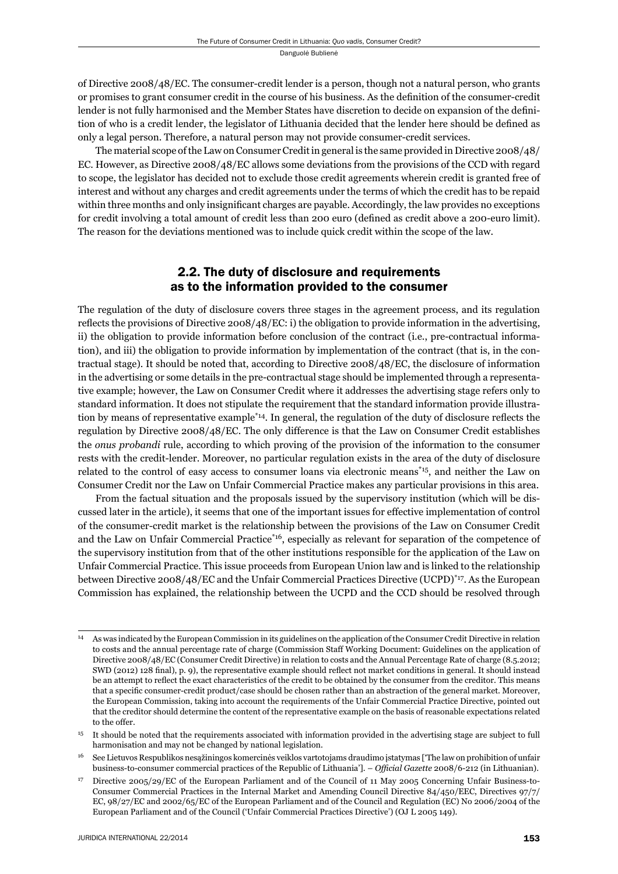of Directive 2008/48/EC. The consumer-credit lender is a person, though not a natural person, who grants or promises to grant consumer credit in the course of his business. As the definition of the consumer-credit lender is not fully harmonised and the Member States have discretion to decide on expansion of the definition of who is a credit lender, the legislator of Lithuania decided that the lender here should be defined as only a legal person. Therefore, a natural person may not provide consumer-credit services.

The material scope of the Law on Consumer Credit in general is the same provided in Directive 2008/48/ EC. However, as Directive 2008/48/EC allows some deviations from the provisions of the CCD with regard to scope, the legislator has decided not to exclude those credit agreements wherein credit is granted free of interest and without any charges and credit agreements under the terms of which the credit has to be repaid within three months and only insignificant charges are payable. Accordingly, the law provides no exceptions for credit involving a total amount of credit less than 200 euro (defined as credit above a 200-euro limit). The reason for the deviations mentioned was to include quick credit within the scope of the law.

#### 2.2. The duty of disclosure and requirements as to the information provided to the consumer

The regulation of the duty of disclosure covers three stages in the agreement process, and its regulation reflects the provisions of Directive 2008/48/EC: i) the obligation to provide information in the advertising, ii) the obligation to provide information before conclusion of the contract (i.e., pre-contractual information), and iii) the obligation to provide information by implementation of the contract (that is, in the contractual stage). It should be noted that, according to Directive 2008/48/EC, the disclosure of information in the advertising or some details in the pre-contractual stage should be implemented through a representative example; however, the Law on Consumer Credit where it addresses the advertising stage refers only to standard information. It does not stipulate the requirement that the standard information provide illustration by means of representative example<sup>\*14</sup>. In general, the regulation of the duty of disclosure reflects the regulation by Directive 2008/48/EC. The only difference is that the Law on Consumer Credit establishes the *onus probandi* rule, according to which proving of the provision of the information to the consumer rests with the credit-lender. Moreover, no particular regulation exists in the area of the duty of disclosure related to the control of easy access to consumer loans via electronic means\*15, and neither the Law on Consumer Credit nor the Law on Unfair Commercial Practice makes any particular provisions in this area.

From the factual situation and the proposals issued by the supervisory institution (which will be discussed later in the article), it seems that one of the important issues for effective implementation of control of the consumer-credit market is the relationship between the provisions of the Law on Consumer Credit and the Law on Unfair Commercial Practice\*16, especially as relevant for separation of the competence of the supervisory institution from that of the other institutions responsible for the application of the Law on Unfair Commercial Practice. This issue proceeds from European Union law and is linked to the relationship between Directive 2008/48/EC and the Unfair Commercial Practices Directive (UCPD)\*17. As the European Commission has explained, the relationship between the UCPD and the CCD should be resolved through

<sup>14</sup> As was indicated by the European Commission in its guidelines on the application of the Consumer Credit Directive in relation to costs and the annual percentage rate of charge (Commission Staff Working Document: Guidelines on the application of Directive 2008/48/EC (Consumer Credit Directive) in relation to costs and the Annual Percentage Rate of charge (8.5.2012; SWD (2012) 128 final), p. 9), the representative example should reflect not market conditions in general. It should instead be an attempt to reflect the exact characteristics of the credit to be obtained by the consumer from the creditor. This means that a specific consumer-credit product/case should be chosen rather than an abstraction of the general market. Moreover, the European Commission, taking into account the requirements of the Unfair Commercial Practice Directive, pointed out that the creditor should determine the content of the representative example on the basis of reasonable expectations related to the offer.

<sup>&</sup>lt;sup>15</sup> It should be noted that the requirements associated with information provided in the advertising stage are subject to full harmonisation and may not be changed by national legislation.

<sup>16</sup> See Lietuvos Respublikos nesąžiningos komercinės veiklos vartotojams draudimo įstatymas ['The law on prohibition of unfair business-to-consumer commercial practices of the Republic of Lithuania']. – *Official Gazette* 2008/6-212 (in Lithuanian).

<sup>17</sup> Directive 2005/29/EC of the European Parliament and of the Council of 11 May 2005 Concerning Unfair Business-to-Consumer Commercial Practices in the Internal Market and Amending Council Directive 84/450/EEC, Directives 97/7/ EC, 98/27/EC and 2002/65/EC of the European Parliament and of the Council and Regulation (EC) No 2006/2004 of the European Parliament and of the Council ('Unfair Commercial Practices Directive') (OJ L 2005 149).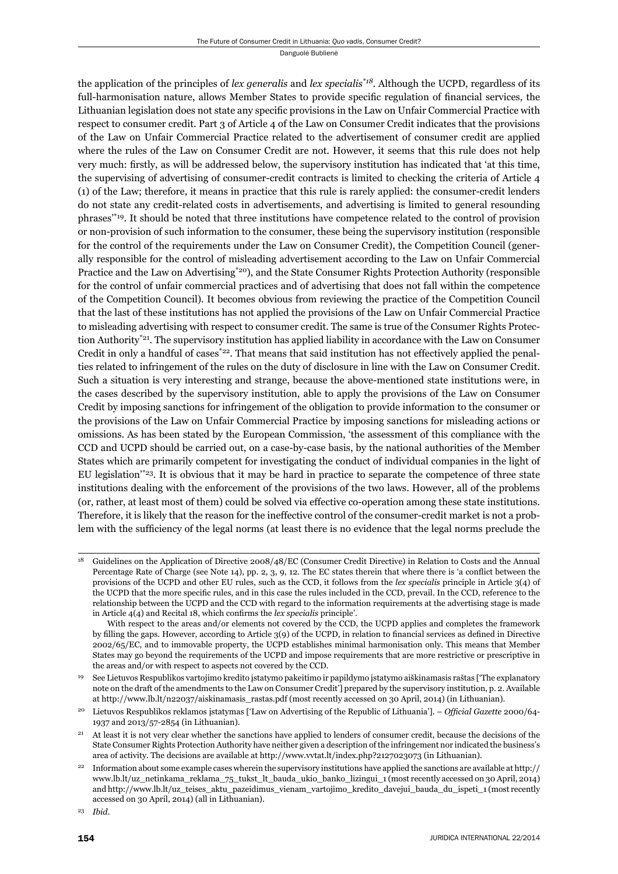the application of the principles of *lex generalis* and *lex specialis\*18*. Although the UCPD, regardless of its full-harmonisation nature, allows Member States to provide specific regulation of financial services, the Lithuanian legislation does not state any specific provisions in the Law on Unfair Commercial Practice with respect to consumer credit. Part 3 of Article 4 of the Law on Consumer Credit indicates that the provisions of the Law on Unfair Commercial Practice related to the advertisement of consumer credit are applied where the rules of the Law on Consumer Credit are not. However, it seems that this rule does not help very much: firstly, as will be addressed below, the supervisory institution has indicated that 'at this time, the supervising of advertising of consumer-credit contracts is limited to checking the criteria of Article 4 (1) of the Law; therefore, it means in practice that this rule is rarely applied: the consumer-credit lenders do not state any credit-related costs in advertisements, and advertising is limited to general resounding phrases'\*19. It should be noted that three institutions have competence related to the control of provision or non-provision of such information to the consumer, these being the supervisory institution (responsible for the control of the requirements under the Law on Consumer Credit), the Competition Council (generally responsible for the control of misleading advertisement according to the Law on Unfair Commercial Practice and the Law on Advertising\*20), and the State Consumer Rights Protection Authority (responsible for the control of unfair commercial practices and of advertising that does not fall within the competence of the Competition Council). It becomes obvious from reviewing the practice of the Competition Council that the last of these institutions has not applied the provisions of the Law on Unfair Commercial Practice to misleading advertising with respect to consumer credit. The same is true of the Consumer Rights Protection Authority\*21. The supervisory institution has applied liability in accordance with the Law on Consumer Credit in only a handful of cases<sup>\*22</sup>. That means that said institution has not effectively applied the penalties related to infringement of the rules on the duty of disclosure in line with the Law on Consumer Credit. Such a situation is very interesting and strange, because the above-mentioned state institutions were, in the cases described by the supervisory institution, able to apply the provisions of the Law on Consumer Credit by imposing sanctions for infringement of the obligation to provide information to the consumer or the provisions of the Law on Unfair Commercial Practice by imposing sanctions for misleading actions or omissions. As has been stated by the European Commission, 'the assessment of this compliance with the CCD and UCPD should be carried out, on a case-by-case basis, by the national authorities of the Member States which are primarily competent for investigating the conduct of individual companies in the light of EU legislation'\*23. It is obvious that it may be hard in practice to separate the competence of three state institutions dealing with the enforcement of the provisions of the two laws. However, all of the problems (or, rather, at least most of them) could be solved via effective co-operation among these state institutions. Therefore, it is likely that the reason for the ineffective control of the consumer-credit market is not a problem with the sufficiency of the legal norms (at least there is no evidence that the legal norms preclude the

<sup>&</sup>lt;sup>18</sup> Guidelines on the Application of Directive 2008/48/EC (Consumer Credit Directive) in Relation to Costs and the Annual Percentage Rate of Charge (see Note 14), pp. 2, 3, 9, 12. The EC states therein that where there is 'a conflict between the provisions of the UCPD and other EU rules, such as the CCD, it follows from the *lex specialis* principle in Article 3(4) of the UCPD that the more specific rules, and in this case the rules included in the CCD, prevail. In the CCD, reference to the relationship between the UCPD and the CCD with regard to the information requirements at the advertising stage is made in Article 4(4) and Recital 18, which confirms the *lex specialis* principle'.

With respect to the areas and/or elements not covered by the CCD, the UCPD applies and completes the framework by filling the gaps. However, according to Article 3(9) of the UCPD, in relation to financial services as defined in Directive 2002/65/EC, and to immovable property, the UCPD establishes minimal harmonisation only. This means that Member States may go beyond the requirements of the UCPD and impose requirements that are more restrictive or prescriptive in the areas and/or with respect to aspects not covered by the CCD.

<sup>19</sup> See Lietuvos Respublikos vartojimo kredito įstatymo pakeitimo ir papildymo įstatymo aiškinamasis raštas ['The explanatory note on the draft of the amendments to the Law on Consumer Credit'] prepared by the supervisory institution, p. 2. Available at http://www.lb.lt/n22037/aiskinamasis\_rastas.pdf (most recently accessed on 30 April, 2014) (in Lithuanian).

Lietuvos Respublikos reklamos istatymas ['Law on Advertising of the Republic of Lithuania']. – *Official Gazette* 2000/64-1937 and 2013/57-2854 (in Lithuanian).

<sup>21</sup> At least it is not very clear whether the sanctions have applied to lenders of consumer credit, because the decisions of the State Consumer Rights Protection Authority have neither given a description of the infringement nor indicated the business's area of activity. The decisions are available at http://www.vvtat.lt/index.php?2127023073 (in Lithuanian).

<sup>22</sup> Information about some example cases wherein the supervisory institutions have applied the sanctions are available at http:// www.lb.lt/uz\_netinkama\_reklama\_75\_tukst\_lt\_bauda\_ukio\_banko\_lizingui\_1 (most recently accessed on 30 April, 2014) and http://www.lb.lt/uz\_teises\_aktu\_pazeidimus\_vienam\_vartojimo\_kredito\_davejui\_bauda\_du\_ispeti\_1 (most recently accessed on 30 April, 2014) (all in Lithuanian).

<sup>23</sup> *Ibid*.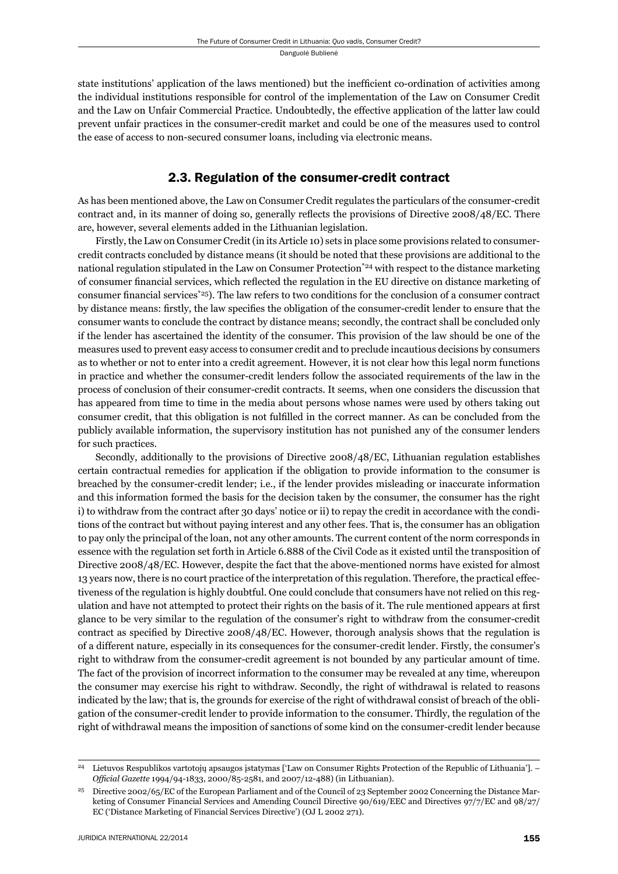state institutions' application of the laws mentioned) but the inefficient co-ordination of activities among the individual institutions responsible for control of the implementation of the Law on Consumer Credit and the Law on Unfair Commercial Practice. Undoubtedly, the effective application of the latter law could prevent unfair practices in the consumer-credit market and could be one of the measures used to control the ease of access to non-secured consumer loans, including via electronic means.

### 2.3. Regulation of the consumer-credit contract

As has been mentioned above, the Law on Consumer Credit regulates the particulars of the consumer-credit contract and, in its manner of doing so, generally reflects the provisions of Directive 2008/48/EC. There are, however, several elements added in the Lithuanian legislation.

Firstly, the Law on Consumer Credit (in its Article 10) sets in place some provisions related to consumercredit contracts concluded by distance means (it should be noted that these provisions are additional to the national regulation stipulated in the Law on Consumer Protection<sup>\*24</sup> with respect to the distance marketing of consumer financial services, which reflected the regulation in the EU directive on distance marketing of consumer financial services<sup> $*25$ </sup>). The law refers to two conditions for the conclusion of a consumer contract by distance means: firstly, the law specifies the obligation of the consumer-credit lender to ensure that the consumer wants to conclude the contract by distance means; secondly, the contract shall be concluded only if the lender has ascertained the identity of the consumer. This provision of the law should be one of the measures used to prevent easy access to consumer credit and to preclude incautious decisions by consumers as to whether or not to enter into a credit agreement. However, it is not clear how this legal norm functions in practice and whether the consumer-credit lenders follow the associated requirements of the law in the process of conclusion of their consumer-credit contracts. It seems, when one considers the discussion that has appeared from time to time in the media about persons whose names were used by others taking out consumer credit, that this obligation is not fulfilled in the correct manner. As can be concluded from the publicly available information, the supervisory institution has not punished any of the consumer lenders for such practices.

Secondly, additionally to the provisions of Directive 2008/48/EC, Lithuanian regulation establishes certain contractual remedies for application if the obligation to provide information to the consumer is breached by the consumer-credit lender; i.e., if the lender provides misleading or inaccurate information and this information formed the basis for the decision taken by the consumer, the consumer has the right i) to withdraw from the contract after 30 days' notice or ii) to repay the credit in accordance with the conditions of the contract but without paying interest and any other fees. That is, the consumer has an obligation to pay only the principal of the loan, not any other amounts. The current content of the norm corresponds in essence with the regulation set forth in Article 6.888 of the Civil Code as it existed until the transposition of Directive 2008/48/EC. However, despite the fact that the above-mentioned norms have existed for almost 13 years now, there is no court practice of the interpretation of this regulation. Therefore, the practical effectiveness of the regulation is highly doubtful. One could conclude that consumers have not relied on this regulation and have not attempted to protect their rights on the basis of it. The rule mentioned appears at first glance to be very similar to the regulation of the consumer's right to withdraw from the consumer-credit contract as specified by Directive  $2008/48/EC$ . However, thorough analysis shows that the regulation is of a different nature, especially in its consequences for the consumer-credit lender. Firstly, the consumer's right to withdraw from the consumer-credit agreement is not bounded by any particular amount of time. The fact of the provision of incorrect information to the consumer may be revealed at any time, whereupon the consumer may exercise his right to withdraw. Secondly, the right of withdrawal is related to reasons indicated by the law; that is, the grounds for exercise of the right of withdrawal consist of breach of the obligation of the consumer-credit lender to provide information to the consumer. Thirdly, the regulation of the right of withdrawal means the imposition of sanctions of some kind on the consumer-credit lender because

<sup>24</sup> Lietuvos Respublikos vartotojų apsaugos įstatymas ['Law on Consumer Rights Protection of the Republic of Lithuania']. – *Offi cial Gazette* 1994/94-1833, 2000/85-2581, and 2007/12-488) (in Lithuanian).

<sup>25</sup> Directive 2002/65/EC of the European Parliament and of the Council of 23 September 2002 Concerning the Distance Marketing of Consumer Financial Services and Amending Council Directive 90/619/EEC and Directives 97/7/EC and 98/27/ EC ('Distance Marketing of Financial Services Directive') (OJ L 2002 271).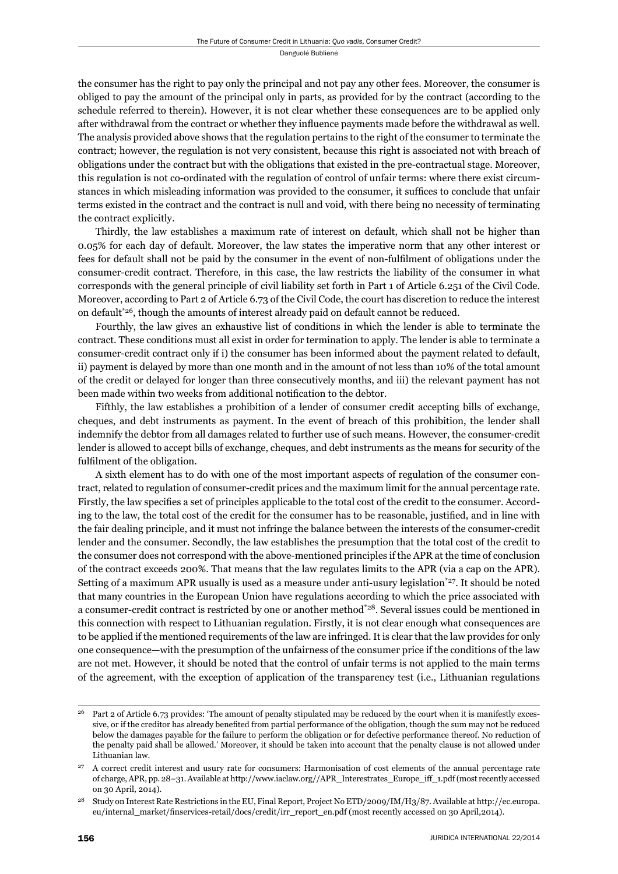the consumer has the right to pay only the principal and not pay any other fees. Moreover, the consumer is obliged to pay the amount of the principal only in parts, as provided for by the contract (according to the schedule referred to therein). However, it is not clear whether these consequences are to be applied only after withdrawal from the contract or whether they influence payments made before the withdrawal as well. The analysis provided above shows that the regulation pertains to the right of the consumer to terminate the contract; however, the regulation is not very consistent, because this right is associated not with breach of obligations under the contract but with the obligations that existed in the pre-contractual stage. Moreover, this regulation is not co-ordinated with the regulation of control of unfair terms: where there exist circumstances in which misleading information was provided to the consumer, it suffices to conclude that unfair terms existed in the contract and the contract is null and void, with there being no necessity of terminating the contract explicitly.

Thirdly, the law establishes a maximum rate of interest on default, which shall not be higher than 0.05% for each day of default. Moreover, the law states the imperative norm that any other interest or fees for default shall not be paid by the consumer in the event of non-fulfilment of obligations under the consumer-credit contract. Therefore, in this case, the law restricts the liability of the consumer in what corresponds with the general principle of civil liability set forth in Part 1 of Article 6.251 of the Civil Code. Moreover, according to Part 2 of Article 6.73 of the Civil Code, the court has discretion to reduce the interest on default $*26$ , though the amounts of interest already paid on default cannot be reduced.

Fourthly, the law gives an exhaustive list of conditions in which the lender is able to terminate the contract. These conditions must all exist in order for termination to apply. The lender is able to terminate a consumer-credit contract only if i) the consumer has been informed about the payment related to default, ii) payment is delayed by more than one month and in the amount of not less than 10% of the total amount of the credit or delayed for longer than three consecutively months, and iii) the relevant payment has not been made within two weeks from additional notification to the debtor.

Fifthly, the law establishes a prohibition of a lender of consumer credit accepting bills of exchange, cheques, and debt instruments as payment. In the event of breach of this prohibition, the lender shall indemnify the debtor from all damages related to further use of such means. However, the consumer-credit lender is allowed to accept bills of exchange, cheques, and debt instruments as the means for security of the fulfilment of the obligation.

A sixth element has to do with one of the most important aspects of regulation of the consumer contract, related to regulation of consumer-credit prices and the maximum limit for the annual percentage rate. Firstly, the law specifies a set of principles applicable to the total cost of the credit to the consumer. According to the law, the total cost of the credit for the consumer has to be reasonable, justified, and in line with the fair dealing principle, and it must not infringe the balance between the interests of the consumer-credit lender and the consumer. Secondly, the law establishes the presumption that the total cost of the credit to the consumer does not correspond with the above-mentioned principles if the APR at the time of conclusion of the contract exceeds 200%. That means that the law regulates limits to the APR (via a cap on the APR). Setting of a maximum APR usually is used as a measure under anti-usury legislation<sup>\*27</sup>. It should be noted that many countries in the European Union have regulations according to which the price associated with a consumer-credit contract is restricted by one or another method\*28. Several issues could be mentioned in this connection with respect to Lithuanian regulation. Firstly, it is not clear enough what consequences are to be applied if the mentioned requirements of the law are infringed. It is clear that the law provides for only one consequence—with the presumption of the unfairness of the consumer price if the conditions of the law are not met. However, it should be noted that the control of unfair terms is not applied to the main terms of the agreement, with the exception of application of the transparency test (i.e., Lithuanian regulations

<sup>&</sup>lt;sup>26</sup> Part 2 of Article 6.73 provides: 'The amount of penalty stipulated may be reduced by the court when it is manifestly excessive, or if the creditor has already benefited from partial performance of the obligation, though the sum may not be reduced below the damages payable for the failure to perform the obligation or for defective performance thereof. No reduction of the penalty paid shall be allowed.' Moreover, it should be taken into account that the penalty clause is not allowed under Lithuanian law.

<sup>27</sup> A correct credit interest and usury rate for consumers: Harmonisation of cost elements of the annual percentage rate of charge, APR, pp. 28−31. Available at http://www.iaclaw.org//APR\_Interestrates\_Europe\_iff\_1.pdf (most recently accessed on 30 April, 2014).

<sup>28</sup> Study on Interest Rate Restrictions in the EU, Final Report, Project No ETD/2009/IM/H3/87. Available at http://ec.europa. eu/internal\_market/finservices-retail/docs/credit/irr\_report\_en.pdf (most recently accessed on 30 April,2014).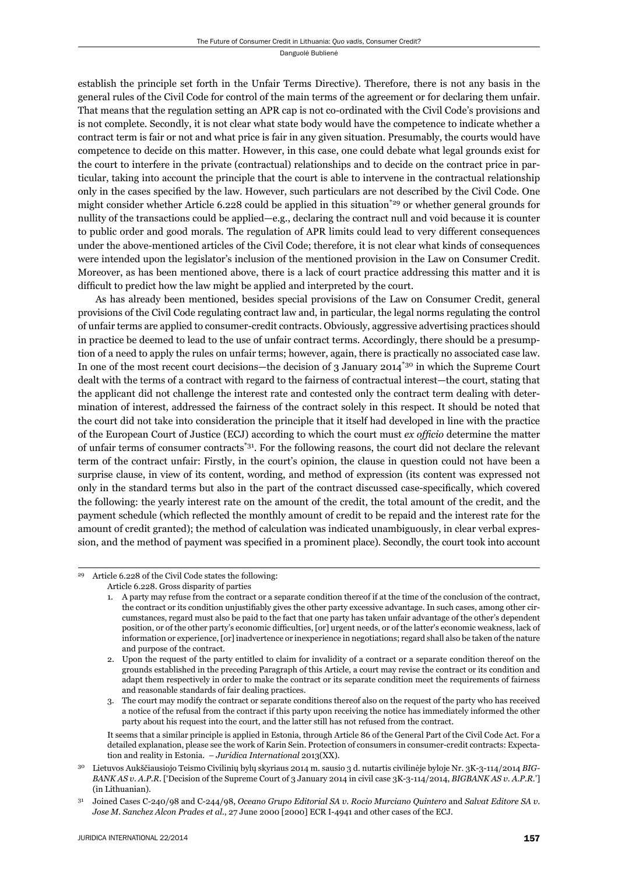establish the principle set forth in the Unfair Terms Directive). Therefore, there is not any basis in the general rules of the Civil Code for control of the main terms of the agreement or for declaring them unfair. That means that the regulation setting an APR cap is not co-ordinated with the Civil Code's provisions and is not complete. Secondly, it is not clear what state body would have the competence to indicate whether a contract term is fair or not and what price is fair in any given situation. Presumably, the courts would have competence to decide on this matter. However, in this case, one could debate what legal grounds exist for the court to interfere in the private (contractual) relationships and to decide on the contract price in particular, taking into account the principle that the court is able to intervene in the contractual relationship only in the cases specified by the law. However, such particulars are not described by the Civil Code. One might consider whether Article 6.228 could be applied in this situation<sup>\*29</sup> or whether general grounds for nullity of the transactions could be applied—e.g., declaring the contract null and void because it is counter to public order and good morals. The regulation of APR limits could lead to very different consequences under the above-mentioned articles of the Civil Code; therefore, it is not clear what kinds of consequences were intended upon the legislator's inclusion of the mentioned provision in the Law on Consumer Credit. Moreover, as has been mentioned above, there is a lack of court practice addressing this matter and it is difficult to predict how the law might be applied and interpreted by the court.

As has already been mentioned, besides special provisions of the Law on Consumer Credit, general provisions of the Civil Code regulating contract law and, in particular, the legal norms regulating the control of unfair terms are applied to consumer-credit contracts. Obviously, aggressive advertising practices should in practice be deemed to lead to the use of unfair contract terms. Accordingly, there should be a presumption of a need to apply the rules on unfair terms; however, again, there is practically no associated case law. In one of the most recent court decisions—the decision of 3 January 2014<sup>\*30</sup> in which the Supreme Court dealt with the terms of a contract with regard to the fairness of contractual interest—the court, stating that the applicant did not challenge the interest rate and contested only the contract term dealing with determination of interest, addressed the fairness of the contract solely in this respect. It should be noted that the court did not take into consideration the principle that it itself had developed in line with the practice of the European Court of Justice (ECJ) according to which the court must *ex offi cio* determine the matter of unfair terms of consumer contracts\*31. For the following reasons, the court did not declare the relevant term of the contract unfair: Firstly, in the court's opinion, the clause in question could not have been a surprise clause, in view of its content, wording, and method of expression (its content was expressed not only in the standard terms but also in the part of the contract discussed case-specifically, which covered the following: the yearly interest rate on the amount of the credit, the total amount of the credit, and the payment schedule (which reflected the monthly amount of credit to be repaid and the interest rate for the amount of credit granted); the method of calculation was indicated unambiguously, in clear verbal expression, and the method of payment was specified in a prominent place). Secondly, the court took into account

It seems that a similar principle is applied in Estonia, through Article 86 of the General Part of the Civil Code Act. For a detailed explanation, please see the work of Karin Sein. Protection of consumers in consumer-credit contracts: Expectation and reality in Estonia. – *Juridica International* 2013(XX).

Article 6.228 of the Civil Code states the following: Article 6.228. Gross disparity of parties

<sup>1.</sup> A party may refuse from the contract or a separate condition thereof if at the time of the conclusion of the contract, the contract or its condition unjustifiably gives the other party excessive advantage. In such cases, among other circumstances, regard must also be paid to the fact that one party has taken unfair advantage of the other's dependent position, or of the other party's economic difficulties, [or] urgent needs, or of the latter's economic weakness, lack of information or experience, [or] inadvertence or inexperience in negotiations; regard shall also be taken of the nature and purpose of the contract.

<sup>2.</sup> Upon the request of the party entitled to claim for invalidity of a contract or a separate condition thereof on the grounds established in the preceding Paragraph of this Article, a court may revise the contract or its condition and adapt them respectively in order to make the contract or its separate condition meet the requirements of fairness and reasonable standards of fair dealing practices.

<sup>3.</sup> The court may modify the contract or separate conditions thereof also on the request of the party who has received a notice of the refusal from the contract if this party upon receiving the notice has immediately informed the other party about his request into the court, and the latter still has not refused from the contract.

<sup>30</sup> Lietuvos Aukščiausiojo Teismo Civilinių bylų skyriaus 2014 m. sausio 3 d. nutartis civilinėje byloje Nr. 3K-3-114/2014 *BIG-BANK AS v. A.P.R*. ['Decision of the Supreme Court of 3 January 2014 in civil case 3K-3-114/2014, *BIGBANK AS v. A.P.R*.'] (in Lithuanian).

<sup>31</sup> Joined Cases C-240/98 and C-244/98, *Oceano Grupo Editorial SA v. Rocio Murciano Quintero* and *Salvat Editore SA v. Jose M. Sanchez Alcon Prades et al.*, 27 June 2000 [2000] ECR I-4941 and other cases of the ECJ.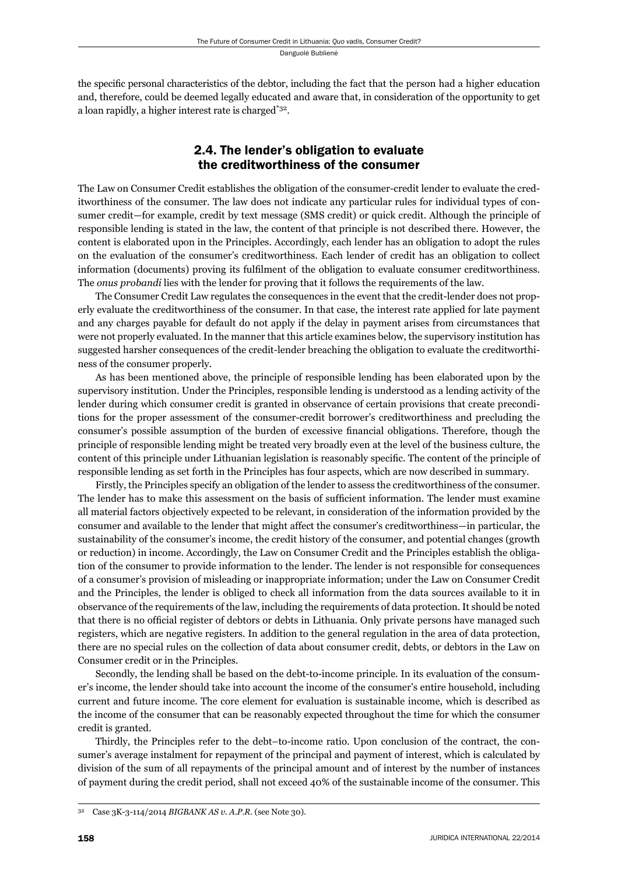the specific personal characteristics of the debtor, including the fact that the person had a higher education and, therefore, could be deemed legally educated and aware that, in consideration of the opportunity to get a loan rapidly, a higher interest rate is charged\*32.

## 2.4. The lender's obligation to evaluate the creditworthiness of the consumer

The Law on Consumer Credit establishes the obligation of the consumer-credit lender to evaluate the creditworthiness of the consumer. The law does not indicate any particular rules for individual types of consumer credit—for example, credit by text message (SMS credit) or quick credit. Although the principle of responsible lending is stated in the law, the content of that principle is not described there. However, the content is elaborated upon in the Principles. Accordingly, each lender has an obligation to adopt the rules on the evaluation of the consumer's creditworthiness. Each lender of credit has an obligation to collect information (documents) proving its fulfilment of the obligation to evaluate consumer creditworthiness. The *onus probandi* lies with the lender for proving that it follows the requirements of the law.

The Consumer Credit Law regulates the consequences in the event that the credit-lender does not properly evaluate the creditworthiness of the consumer. In that case, the interest rate applied for late payment and any charges payable for default do not apply if the delay in payment arises from circumstances that were not properly evaluated. In the manner that this article examines below, the supervisory institution has suggested harsher consequences of the credit-lender breaching the obligation to evaluate the creditworthiness of the consumer properly.

As has been mentioned above, the principle of responsible lending has been elaborated upon by the supervisory institution. Under the Principles, responsible lending is understood as a lending activity of the lender during which consumer credit is granted in observance of certain provisions that create preconditions for the proper assessment of the consumer-credit borrower's creditworthiness and precluding the consumer's possible assumption of the burden of excessive financial obligations. Therefore, though the principle of responsible lending might be treated very broadly even at the level of the business culture, the content of this principle under Lithuanian legislation is reasonably specific. The content of the principle of responsible lending as set forth in the Principles has four aspects, which are now described in summary.

Firstly, the Principles specify an obligation of the lender to assess the creditworthiness of the consumer. The lender has to make this assessment on the basis of sufficient information. The lender must examine all material factors objectively expected to be relevant, in consideration of the information provided by the consumer and available to the lender that might affect the consumer's creditworthiness—in particular, the sustainability of the consumer's income, the credit history of the consumer, and potential changes (growth or reduction) in income. Accordingly, the Law on Consumer Credit and the Principles establish the obligation of the consumer to provide information to the lender. The lender is not responsible for consequences of a consumer's provision of misleading or inappropriate information; under the Law on Consumer Credit and the Principles, the lender is obliged to check all information from the data sources available to it in observance of the requirements of the law, including the requirements of data protection. It should be noted that there is no official register of debtors or debts in Lithuania. Only private persons have managed such registers, which are negative registers. In addition to the general regulation in the area of data protection, there are no special rules on the collection of data about consumer credit, debts, or debtors in the Law on Consumer credit or in the Principles.

Secondly, the lending shall be based on the debt-to-income principle. In its evaluation of the consumer's income, the lender should take into account the income of the consumer's entire household, including current and future income. The core element for evaluation is sustainable income, which is described as the income of the consumer that can be reasonably expected throughout the time for which the consumer credit is granted.

Thirdly, the Principles refer to the debt–to-income ratio. Upon conclusion of the contract, the consumer's average instalment for repayment of the principal and payment of interest, which is calculated by division of the sum of all repayments of the principal amount and of interest by the number of instances of payment during the credit period, shall not exceed 40% of the sustainable income of the consumer. This

Case 3K-3-114/2014 *BIGBANK AS v. A.P.R.* (see Note 30).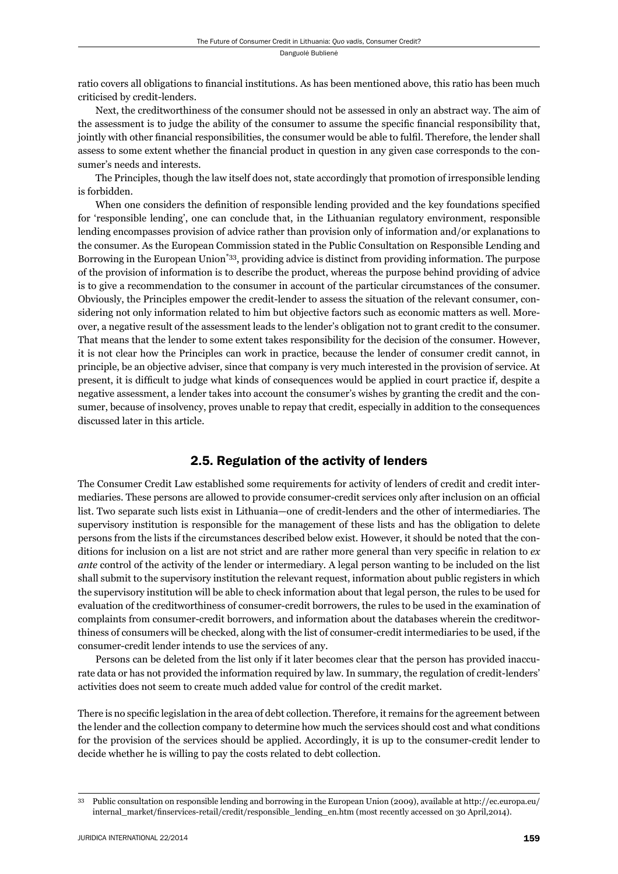ratio covers all obligations to financial institutions. As has been mentioned above, this ratio has been much criticised by credit-lenders.

Next, the creditworthiness of the consumer should not be assessed in only an abstract way. The aim of the assessment is to judge the ability of the consumer to assume the specific financial responsibility that, jointly with other financial responsibilities, the consumer would be able to fulfil. Therefore, the lender shall assess to some extent whether the financial product in question in any given case corresponds to the consumer's needs and interests.

The Principles, though the law itself does not, state accordingly that promotion of irresponsible lending is forbidden.

When one considers the definition of responsible lending provided and the key foundations specified for 'responsible lending', one can conclude that, in the Lithuanian regulatory environment, responsible lending encompasses provision of advice rather than provision only of information and/or explanations to the consumer. As the European Commission stated in the Public Consultation on Responsible Lending and Borrowing in the European Union\*33, providing advice is distinct from providing information. The purpose of the provision of information is to describe the product, whereas the purpose behind providing of advice is to give a recommendation to the consumer in account of the particular circumstances of the consumer. Obviously, the Principles empower the credit-lender to assess the situation of the relevant consumer, considering not only information related to him but objective factors such as economic matters as well. Moreover, a negative result of the assessment leads to the lender's obligation not to grant credit to the consumer. That means that the lender to some extent takes responsibility for the decision of the consumer. However, it is not clear how the Principles can work in practice, because the lender of consumer credit cannot, in principle, be an objective adviser, since that company is very much interested in the provision of service. At present, it is difficult to judge what kinds of consequences would be applied in court practice if, despite a negative assessment, a lender takes into account the consumer's wishes by granting the credit and the consumer, because of insolvency, proves unable to repay that credit, especially in addition to the consequences discussed later in this article.

## 2.5. Regulation of the activity of lenders

The Consumer Credit Law established some requirements for activity of lenders of credit and credit intermediaries. These persons are allowed to provide consumer-credit services only after inclusion on an official list. Two separate such lists exist in Lithuania—one of credit-lenders and the other of intermediaries. The supervisory institution is responsible for the management of these lists and has the obligation to delete persons from the lists if the circumstances described below exist. However, it should be noted that the conditions for inclusion on a list are not strict and are rather more general than very specific in relation to  $ex$ *ante* control of the activity of the lender or intermediary. A legal person wanting to be included on the list shall submit to the supervisory institution the relevant request, information about public registers in which the supervisory institution will be able to check information about that legal person, the rules to be used for evaluation of the creditworthiness of consumer-credit borrowers, the rules to be used in the examination of complaints from consumer-credit borrowers, and information about the databases wherein the creditworthiness of consumers will be checked, along with the list of consumer-credit intermediaries to be used, if the consumer-credit lender intends to use the services of any.

Persons can be deleted from the list only if it later becomes clear that the person has provided inaccurate data or has not provided the information required by law. In summary, the regulation of credit-lenders' activities does not seem to create much added value for control of the credit market.

There is no specific legislation in the area of debt collection. Therefore, it remains for the agreement between the lender and the collection company to determine how much the services should cost and what conditions for the provision of the services should be applied. Accordingly, it is up to the consumer-credit lender to decide whether he is willing to pay the costs related to debt collection.

<sup>33</sup> Public consultation on responsible lending and borrowing in the European Union (2009), available at http://ec.europa.eu/ internal\_market/finservices-retail/credit/responsible\_lending\_en.htm (most recently accessed on 30 April,2014).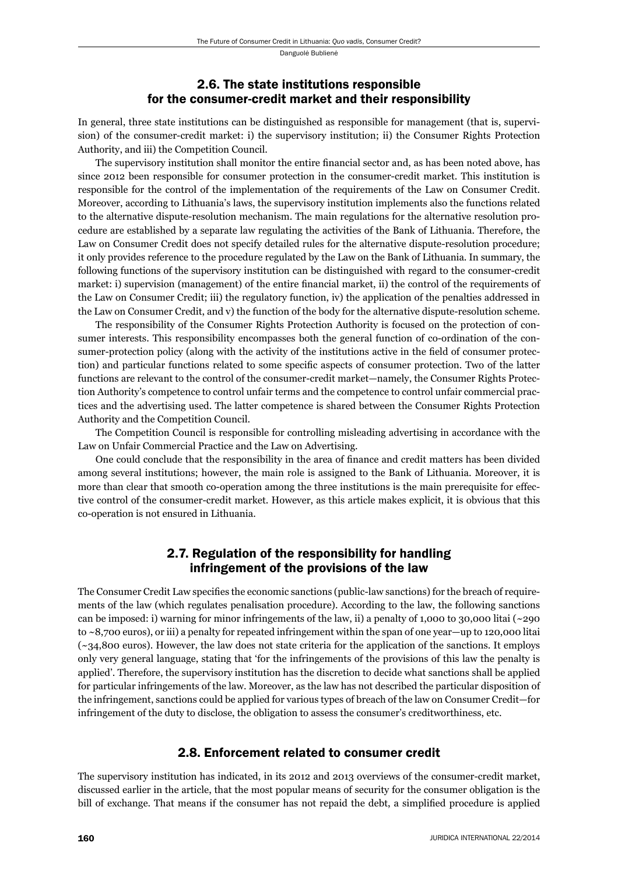#### 2.6. The state institutions responsible for the consumer-credit market and their responsibility

In general, three state institutions can be distinguished as responsible for management (that is, supervision) of the consumer-credit market: i) the supervisory institution; ii) the Consumer Rights Protection Authority, and iii) the Competition Council.

The supervisory institution shall monitor the entire financial sector and, as has been noted above, has since 2012 been responsible for consumer protection in the consumer-credit market. This institution is responsible for the control of the implementation of the requirements of the Law on Consumer Credit. Moreover, according to Lithuania's laws, the supervisory institution implements also the functions related to the alternative dispute-resolution mechanism. The main regulations for the alternative resolution procedure are established by a separate law regulating the activities of the Bank of Lithuania. Therefore, the Law on Consumer Credit does not specify detailed rules for the alternative dispute-resolution procedure; it only provides reference to the procedure regulated by the Law on the Bank of Lithuania. In summary, the following functions of the supervisory institution can be distinguished with regard to the consumer-credit market: i) supervision (management) of the entire financial market, ii) the control of the requirements of the Law on Consumer Credit; iii) the regulatory function, iv) the application of the penalties addressed in the Law on Consumer Credit, and v) the function of the body for the alternative dispute-resolution scheme.

The responsibility of the Consumer Rights Protection Authority is focused on the protection of consumer interests. This responsibility encompasses both the general function of co-ordination of the consumer-protection policy (along with the activity of the institutions active in the field of consumer protection) and particular functions related to some specific aspects of consumer protection. Two of the latter functions are relevant to the control of the consumer-credit market—namely, the Consumer Rights Protection Authority's competence to control unfair terms and the competence to control unfair commercial practices and the advertising used. The latter competence is shared between the Consumer Rights Protection Authority and the Competition Council.

The Competition Council is responsible for controlling misleading advertising in accordance with the Law on Unfair Commercial Practice and the Law on Advertising.

One could conclude that the responsibility in the area of finance and credit matters has been divided among several institutions; however, the main role is assigned to the Bank of Lithuania. Moreover, it is more than clear that smooth co-operation among the three institutions is the main prerequisite for effective control of the consumer-credit market. However, as this article makes explicit, it is obvious that this co-operation is not ensured in Lithuania.

#### 2.7. Regulation of the responsibility for handling infringement of the provisions of the law

The Consumer Credit Law specifies the economic sanctions (public-law sanctions) for the breach of requirements of the law (which regulates penalisation procedure). According to the law, the following sanctions can be imposed: i) warning for minor infringements of the law, ii) a penalty of 1,000 to 30,000 litai (~290 to ~8,700 euros), or iii) a penalty for repeated infringement within the span of one year—up to 120,000 litai (~34,800 euros). However, the law does not state criteria for the application of the sanctions. It employs only very general language, stating that 'for the infringements of the provisions of this law the penalty is applied'. Therefore, the supervisory institution has the discretion to decide what sanctions shall be applied for particular infringements of the law. Moreover, as the law has not described the particular disposition of the infringement, sanctions could be applied for various types of breach of the law on Consumer Credit—for infringement of the duty to disclose, the obligation to assess the consumer's creditworthiness, etc.

#### 2.8. Enforcement related to consumer credit

The supervisory institution has indicated, in its 2012 and 2013 overviews of the consumer-credit market, discussed earlier in the article, that the most popular means of security for the consumer obligation is the bill of exchange. That means if the consumer has not repaid the debt, a simplified procedure is applied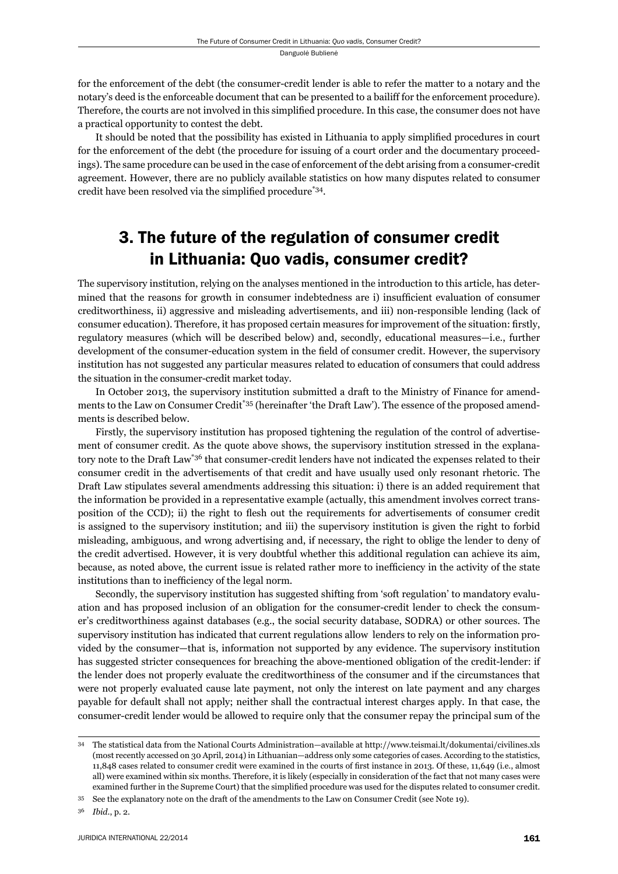for the enforcement of the debt (the consumer-credit lender is able to refer the matter to a notary and the notary's deed is the enforceable document that can be presented to a bailiff for the enforcement procedure). Therefore, the courts are not involved in this simplified procedure. In this case, the consumer does not have a practical opportunity to contest the debt.

It should be noted that the possibility has existed in Lithuania to apply simplified procedures in court for the enforcement of the debt (the procedure for issuing of a court order and the documentary proceedings). The same procedure can be used in the case of enforcement of the debt arising from a consumer-credit agreement. However, there are no publicly available statistics on how many disputes related to consumer credit have been resolved via the simplified procedure\*34.

# 3. The future of the regulation of consumer credit in Lithuania: Quo vadis, consumer credit?

The supervisory institution, relying on the analyses mentioned in the introduction to this article, has determined that the reasons for growth in consumer indebtedness are i) insufficient evaluation of consumer creditworthiness, ii) aggressive and misleading advertisements, and iii) non-responsible lending (lack of consumer education). Therefore, it has proposed certain measures for improvement of the situation: firstly, regulatory measures (which will be described below) and, secondly, educational measures—i.e., further development of the consumer-education system in the field of consumer credit. However, the supervisory institution has not suggested any particular measures related to education of consumers that could address the situation in the consumer-credit market today.

In October 2013, the supervisory institution submitted a draft to the Ministry of Finance for amendments to the Law on Consumer Credit<sup>\*35</sup> (hereinafter 'the Draft Law'). The essence of the proposed amendments is described below.

Firstly, the supervisory institution has proposed tightening the regulation of the control of advertisement of consumer credit. As the quote above shows, the supervisory institution stressed in the explanatory note to the Draft Law\*36 that consumer-credit lenders have not indicated the expenses related to their consumer credit in the advertisements of that credit and have usually used only resonant rhetoric. The Draft Law stipulates several amendments addressing this situation: i) there is an added requirement that the information be provided in a representative example (actually, this amendment involves correct transposition of the CCD); ii) the right to flesh out the requirements for advertisements of consumer credit is assigned to the supervisory institution; and iii) the supervisory institution is given the right to forbid misleading, ambiguous, and wrong advertising and, if necessary, the right to oblige the lender to deny of the credit advertised. However, it is very doubtful whether this additional regulation can achieve its aim, because, as noted above, the current issue is related rather more to inefficiency in the activity of the state institutions than to inefficiency of the legal norm.

Secondly, the supervisory institution has suggested shifting from 'soft regulation' to mandatory evaluation and has proposed inclusion of an obligation for the consumer-credit lender to check the consumer's creditworthiness against databases (e.g., the social security database, SODRA) or other sources. The supervisory institution has indicated that current regulations allow lenders to rely on the information provided by the consumer—that is, information not supported by any evidence. The supervisory institution has suggested stricter consequences for breaching the above-mentioned obligation of the credit-lender: if the lender does not properly evaluate the creditworthiness of the consumer and if the circumstances that were not properly evaluated cause late payment, not only the interest on late payment and any charges payable for default shall not apply; neither shall the contractual interest charges apply. In that case, the consumer-credit lender would be allowed to require only that the consumer repay the principal sum of the

<sup>36</sup> *Ibid*., p. 2.

<sup>34</sup> The statistical data from the National Courts Administration—available at http://www.teismai.lt/dokumentai/civilines.xls (most recently accessed on 30 April, 2014) in Lithuanian—address only some categories of cases. According to the statistics, 11,848 cases related to consumer credit were examined in the courts of first instance in 2013. Of these, 11,649 (i.e., almost all) were examined within six months. Therefore, it is likely (especially in consideration of the fact that not many cases were examined further in the Supreme Court) that the simplified procedure was used for the disputes related to consumer credit.

<sup>35</sup> See the explanatory note on the draft of the amendments to the Law on Consumer Credit (see Note 19).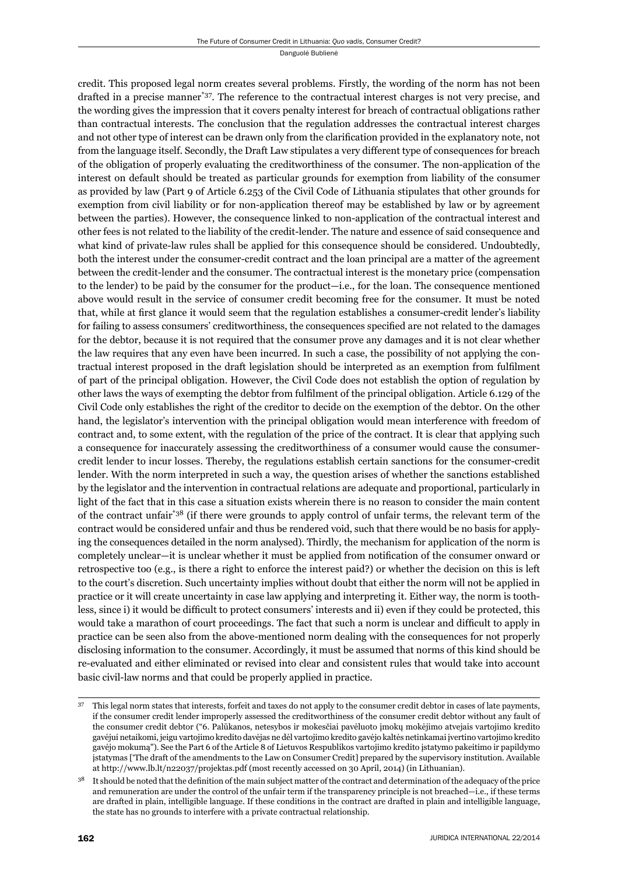credit. This proposed legal norm creates several problems. Firstly, the wording of the norm has not been drafted in a precise manner<sup>\*37</sup>. The reference to the contractual interest charges is not very precise, and the wording gives the impression that it covers penalty interest for breach of contractual obligations rather than contractual interests. The conclusion that the regulation addresses the contractual interest charges and not other type of interest can be drawn only from the clarification provided in the explanatory note, not from the language itself. Secondly, the Draft Law stipulates a very different type of consequences for breach of the obligation of properly evaluating the creditworthiness of the consumer. The non-application of the interest on default should be treated as particular grounds for exemption from liability of the consumer as provided by law (Part 9 of Article 6.253 of the Civil Code of Lithuania stipulates that other grounds for exemption from civil liability or for non-application thereof may be established by law or by agreement between the parties). However, the consequence linked to non-application of the contractual interest and other fees is not related to the liability of the credit-lender. The nature and essence of said consequence and what kind of private-law rules shall be applied for this consequence should be considered. Undoubtedly, both the interest under the consumer-credit contract and the loan principal are a matter of the agreement between the credit-lender and the consumer. The contractual interest is the monetary price (compensation to the lender) to be paid by the consumer for the product—i.e., for the loan. The consequence mentioned above would result in the service of consumer credit becoming free for the consumer. It must be noted that, while at first glance it would seem that the regulation establishes a consumer-credit lender's liability for failing to assess consumers' creditworthiness, the consequences specified are not related to the damages for the debtor, because it is not required that the consumer prove any damages and it is not clear whether the law requires that any even have been incurred. In such a case, the possibility of not applying the contractual interest proposed in the draft legislation should be interpreted as an exemption from fulfilment of part of the principal obligation. However, the Civil Code does not establish the option of regulation by other laws the ways of exempting the debtor from fulfilment of the principal obligation. Article 6.129 of the Civil Code only establishes the right of the creditor to decide on the exemption of the debtor. On the other hand, the legislator's intervention with the principal obligation would mean interference with freedom of contract and, to some extent, with the regulation of the price of the contract. It is clear that applying such a consequence for inaccurately assessing the creditworthiness of a consumer would cause the consumercredit lender to incur losses. Thereby, the regulations establish certain sanctions for the consumer-credit lender. With the norm interpreted in such a way, the question arises of whether the sanctions established by the legislator and the intervention in contractual relations are adequate and proportional, particularly in light of the fact that in this case a situation exists wherein there is no reason to consider the main content of the contract unfair\*38 (if there were grounds to apply control of unfair terms, the relevant term of the contract would be considered unfair and thus be rendered void, such that there would be no basis for applying the consequences detailed in the norm analysed). Thirdly, the mechanism for application of the norm is completely unclear—it is unclear whether it must be applied from notification of the consumer onward or retrospective too (e.g., is there a right to enforce the interest paid?) or whether the decision on this is left to the court's discretion. Such uncertainty implies without doubt that either the norm will not be applied in practice or it will create uncertainty in case law applying and interpreting it. Either way, the norm is toothless, since i) it would be difficult to protect consumers' interests and ii) even if they could be protected, this would take a marathon of court proceedings. The fact that such a norm is unclear and difficult to apply in practice can be seen also from the above-mentioned norm dealing with the consequences for not properly disclosing information to the consumer. Accordingly, it must be assumed that norms of this kind should be re-evaluated and either eliminated or revised into clear and consistent rules that would take into account basic civil-law norms and that could be properly applied in practice.

<sup>37</sup> This legal norm states that interests, forfeit and taxes do not apply to the consumer credit debtor in cases of late payments, if the consumer credit lender improperly assessed the creditworthiness of the consumer credit debtor without any fault of the consumer credit debtor ("6. Palūkanos, netesybos ir mokesčiai pavėluoto įmokų mokėjimo atvejais vartojimo kredito gavėjui netaikomi, jeigu vartojimo kredito davėjas ne dėl vartojimo kredito gavėjo kaltės netinkamai įvertino vartojimo kredito gavėjo mokumą"). See the Part 6 of the Article 8 of Lietuvos Respublikos vartojimo kredito įstatymo pakeitimo ir papildymo įstatymas ['The draft of the amendments to the Law on Consumer Credit] prepared by the supervisory institution. Available at http://www.lb.lt/n22037/projektas.pdf (most recently accessed on 30 April, 2014) (in Lithuanian).

It should be noted that the definition of the main subject matter of the contract and determination of the adequacy of the price and remuneration are under the control of the unfair term if the transparency principle is not breached—i.e., if these terms are drafted in plain, intelligible language. If these conditions in the contract are drafted in plain and intelligible language, the state has no grounds to interfere with a private contractual relationship.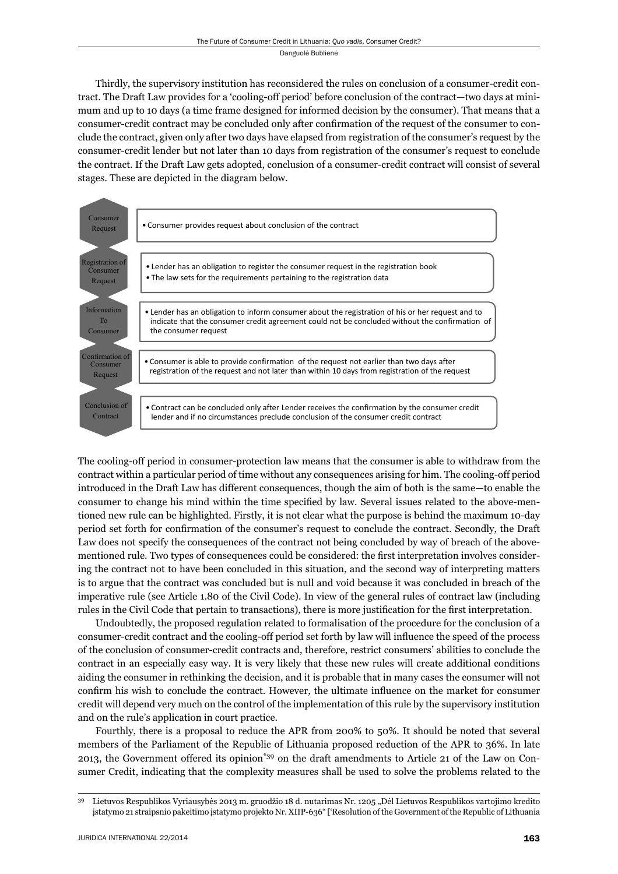Thirdly, the supervisory institution has reconsidered the rules on conclusion of a consumer-credit contract. The Draft Law provides for a 'cooling-off period' before conclusion of the contract—two days at minimum and up to 10 days (a time frame designed for informed decision by the consumer). That means that a consumer-credit contract may be concluded only after confirmation of the request of the consumer to conclude the contract, given only after two days have elapsed from registration of the consumer's request by the consumer-credit lender but not later than 10 days from registration of the consumer's request to conclude the contract. If the Draft Law gets adopted, conclusion of a consumer-credit contract will consist of several stages. These are depicted in the diagram below.



The cooling-off period in consumer-protection law means that the consumer is able to withdraw from the contract within a particular period of time without any consequences arising for him. The cooling-off period introduced in the Draft Law has different consequences, though the aim of both is the same—to enable the consumer to change his mind within the time specified by law. Several issues related to the above-mentioned new rule can be highlighted. Firstly, it is not clear what the purpose is behind the maximum 10-day period set forth for confirmation of the consumer's request to conclude the contract. Secondly, the Draft Law does not specify the consequences of the contract not being concluded by way of breach of the abovementioned rule. Two types of consequences could be considered: the first interpretation involves considering the contract not to have been concluded in this situation, and the second way of interpreting matters is to argue that the contract was concluded but is null and void because it was concluded in breach of the imperative rule (see Article 1.80 of the Civil Code). In view of the general rules of contract law (including rules in the Civil Code that pertain to transactions), there is more justification for the first interpretation.

Undoubtedly, the proposed regulation related to formalisation of the procedure for the conclusion of a consumer-credit contract and the cooling-off period set forth by law will influence the speed of the process of the conclusion of consumer-credit contracts and, therefore, restrict consumers' abilities to conclude the contract in an especially easy way. It is very likely that these new rules will create additional conditions aiding the consumer in rethinking the decision, and it is probable that in many cases the consumer will not confirm his wish to conclude the contract. However, the ultimate influence on the market for consumer credit will depend very much on the control of the implementation of this rule by the supervisory institution and on the rule's application in court practice.

Fourthly, there is a proposal to reduce the APR from 200% to 50%. It should be noted that several members of the Parliament of the Republic of Lithuania proposed reduction of the APR to 36%. In late 2013, the Government offered its opinion\*39 on the draft amendments to Article 21 of the Law on Consumer Credit, indicating that the complexity measures shall be used to solve the problems related to the

<sup>&</sup>lt;sup>39</sup> Lietuvos Respublikos Vyriausybės 2013 m. gruodžio 18 d. nutarimas Nr. 1205 "Dėl Lietuvos Respublikos vartojimo kredito įstatymo 21 straipsnio pakeitimo įstatymo projekto Nr. XIIP-636" ['Resolution of the Government of the Republic of Lithuania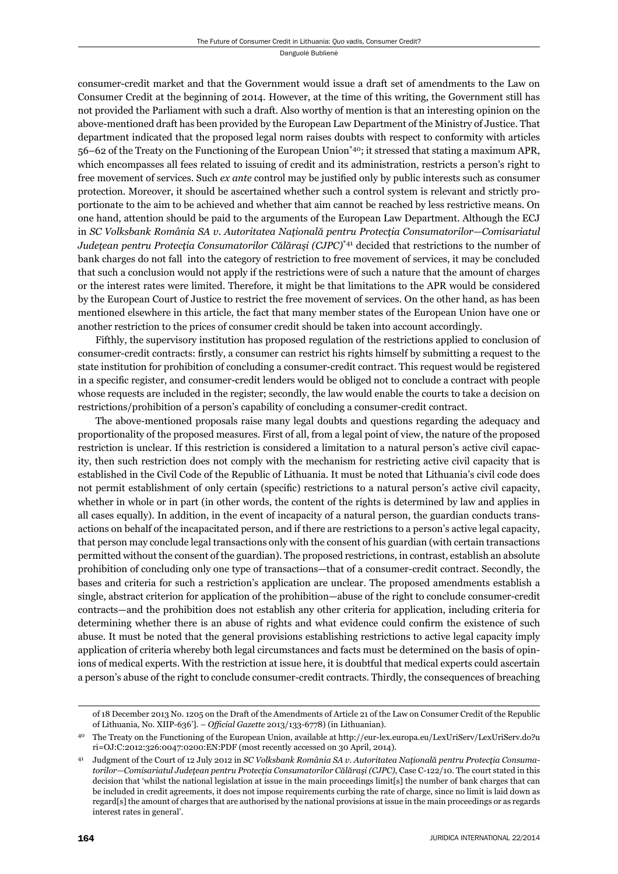consumer-credit market and that the Government would issue a draft set of amendments to the Law on Consumer Credit at the beginning of 2014. However, at the time of this writing, the Government still has not provided the Parliament with such a draft. Also worthy of mention is that an interesting opinion on the above-mentioned draft has been provided by the European Law Department of the Ministry of Justice. That department indicated that the proposed legal norm raises doubts with respect to conformity with articles  $56-62$  of the Treaty on the Functioning of the European Union<sup>\*40</sup>; it stressed that stating a maximum APR, which encompasses all fees related to issuing of credit and its administration, restricts a person's right to free movement of services. Such *ex ante* control may be justified only by public interests such as consumer protection. Moreover, it should be ascertained whether such a control system is relevant and strictly proportionate to the aim to be achieved and whether that aim cannot be reached by less restrictive means. On one hand, attention should be paid to the arguments of the European Law Department. Although the ECJ in *SC Volksbank România SA v. Autoritatea Naţională pentru Protecţia Consumatorilor—Comisariatul Judeţean pentru Protecţia Consumatorilor Călăraşi (CJPC)*\*41 decided that restrictions to the number of bank charges do not fall into the category of restriction to free movement of services, it may be concluded that such a conclusion would not apply if the restrictions were of such a nature that the amount of charges or the interest rates were limited. Therefore, it might be that limitations to the APR would be considered by the European Court of Justice to restrict the free movement of services. On the other hand, as has been mentioned elsewhere in this article, the fact that many member states of the European Union have one or another restriction to the prices of consumer credit should be taken into account accordingly.

Fifthly, the supervisory institution has proposed regulation of the restrictions applied to conclusion of consumer-credit contracts: firstly, a consumer can restrict his rights himself by submitting a request to the state institution for prohibition of concluding a consumer-credit contract. This request would be registered in a specific register, and consumer-credit lenders would be obliged not to conclude a contract with people whose requests are included in the register; secondly, the law would enable the courts to take a decision on restrictions/prohibition of a person's capability of concluding a consumer-credit contract.

The above-mentioned proposals raise many legal doubts and questions regarding the adequacy and proportionality of the proposed measures. First of all, from a legal point of view, the nature of the proposed restriction is unclear. If this restriction is considered a limitation to a natural person's active civil capacity, then such restriction does not comply with the mechanism for restricting active civil capacity that is established in the Civil Code of the Republic of Lithuania. It must be noted that Lithuania's civil code does not permit establishment of only certain (specific) restrictions to a natural person's active civil capacity, whether in whole or in part (in other words, the content of the rights is determined by law and applies in all cases equally). In addition, in the event of incapacity of a natural person, the guardian conducts transactions on behalf of the incapacitated person, and if there are restrictions to a person's active legal capacity, that person may conclude legal transactions only with the consent of his guardian (with certain transactions permitted without the consent of the guardian). The proposed restrictions, in contrast, establish an absolute prohibition of concluding only one type of transactions—that of a consumer-credit contract. Secondly, the bases and criteria for such a restriction's application are unclear. The proposed amendments establish a single, abstract criterion for application of the prohibition—abuse of the right to conclude consumer-credit contracts—and the prohibition does not establish any other criteria for application, including criteria for determining whether there is an abuse of rights and what evidence could confirm the existence of such abuse. It must be noted that the general provisions establishing restrictions to active legal capacity imply application of criteria whereby both legal circumstances and facts must be determined on the basis of opinions of medical experts. With the restriction at issue here, it is doubtful that medical experts could ascertain a person's abuse of the right to conclude consumer-credit contracts. Thirdly, the consequences of breaching

of 18 December 2013 No. 1205 on the Draft of the Amendments of Article 21 of the Law on Consumer Credit of the Republic of Lithuania, No. XIIP-636']. – *Official Gazette* 2013/133-6778) (in Lithuanian).

<sup>40</sup> The Treaty on the Functioning of the European Union, available at http://eur-lex.europa.eu/LexUriServ/LexUriServ.do?u ri=OJ:C:2012:326:0047:0200:EN:PDF (most recently accessed on 30 April, 2014).

<sup>41</sup> Judgment of the Court of 12 July 2012 in *SC Volksbank România SA v. Autoritatea Naţională pentru Protecţia Consumatorilor—Comisariatul Judeţean pentru Protecţia Consumatorilor Călăraşi (CJPC)*, Case C-122/10. The court stated in this decision that 'whilst the national legislation at issue in the main proceedings limit[s] the number of bank charges that can be included in credit agreements, it does not impose requirements curbing the rate of charge, since no limit is laid down as regard[s] the amount of charges that are authorised by the national provisions at issue in the main proceedings or as regards interest rates in general'.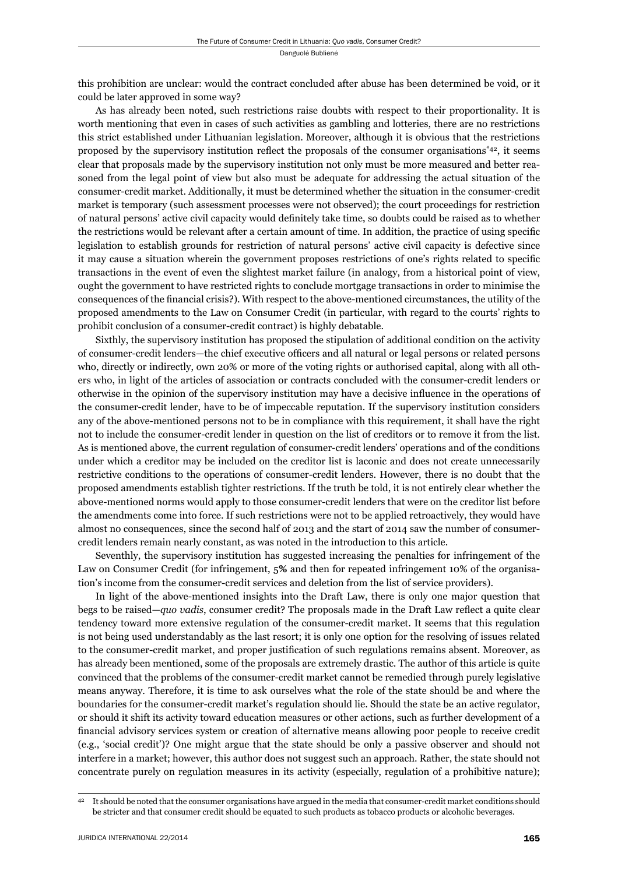this prohibition are unclear: would the contract concluded after abuse has been determined be void, or it could be later approved in some way?

As has already been noted, such restrictions raise doubts with respect to their proportionality. It is worth mentioning that even in cases of such activities as gambling and lotteries, there are no restrictions this strict established under Lithuanian legislation. Moreover, although it is obvious that the restrictions proposed by the supervisory institution reflect the proposals of the consumer organisations<sup>\*42</sup>, it seems clear that proposals made by the supervisory institution not only must be more measured and better reasoned from the legal point of view but also must be adequate for addressing the actual situation of the consumer-credit market. Additionally, it must be determined whether the situation in the consumer-credit market is temporary (such assessment processes were not observed); the court proceedings for restriction of natural persons' active civil capacity would definitely take time, so doubts could be raised as to whether the restrictions would be relevant after a certain amount of time. In addition, the practice of using specific legislation to establish grounds for restriction of natural persons' active civil capacity is defective since it may cause a situation wherein the government proposes restrictions of one's rights related to specific transactions in the event of even the slightest market failure (in analogy, from a historical point of view, ought the government to have restricted rights to conclude mortgage transactions in order to minimise the consequences of the financial crisis?). With respect to the above-mentioned circumstances, the utility of the proposed amendments to the Law on Consumer Credit (in particular, with regard to the courts' rights to prohibit conclusion of a consumer-credit contract) is highly debatable.

Sixthly, the supervisory institution has proposed the stipulation of additional condition on the activity of consumer-credit lenders—the chief executive officers and all natural or legal persons or related persons who, directly or indirectly, own 20% or more of the voting rights or authorised capital, along with all others who, in light of the articles of association or contracts concluded with the consumer-credit lenders or otherwise in the opinion of the supervisory institution may have a decisive influence in the operations of the consumer-credit lender, have to be of impeccable reputation. If the supervisory institution considers any of the above-mentioned persons not to be in compliance with this requirement, it shall have the right not to include the consumer-credit lender in question on the list of creditors or to remove it from the list. As is mentioned above, the current regulation of consumer-credit lenders' operations and of the conditions under which a creditor may be included on the creditor list is laconic and does not create unnecessarily restrictive conditions to the operations of consumer-credit lenders. However, there is no doubt that the proposed amendments establish tighter restrictions. If the truth be told, it is not entirely clear whether the above-mentioned norms would apply to those consumer-credit lenders that were on the creditor list before the amendments come into force. If such restrictions were not to be applied retroactively, they would have almost no consequences, since the second half of 2013 and the start of 2014 saw the number of consumercredit lenders remain nearly constant, as was noted in the introduction to this article.

Seventhly, the supervisory institution has suggested increasing the penalties for infringement of the Law on Consumer Credit (for infringement, 5**%** and then for repeated infringement 10% of the organisation's income from the consumer-credit services and deletion from the list of service providers).

In light of the above-mentioned insights into the Draft Law, there is only one major question that begs to be raised—*quo vadis*, consumer credit? The proposals made in the Draft Law reflect a quite clear tendency toward more extensive regulation of the consumer-credit market. It seems that this regulation is not being used understandably as the last resort; it is only one option for the resolving of issues related to the consumer-credit market, and proper justification of such regulations remains absent. Moreover, as has already been mentioned, some of the proposals are extremely drastic. The author of this article is quite convinced that the problems of the consumer-credit market cannot be remedied through purely legislative means anyway. Therefore, it is time to ask ourselves what the role of the state should be and where the boundaries for the consumer-credit market's regulation should lie. Should the state be an active regulator, or should it shift its activity toward education measures or other actions, such as further development of a financial advisory services system or creation of alternative means allowing poor people to receive credit (e.g., 'social credit')? One might argue that the state should be only a passive observer and should not interfere in a market; however, this author does not suggest such an approach. Rather, the state should not concentrate purely on regulation measures in its activity (especially, regulation of a prohibitive nature);

<sup>42</sup> It should be noted that the consumer organisations have argued in the media that consumer-credit market conditions should be stricter and that consumer credit should be equated to such products as tobacco products or alcoholic beverages.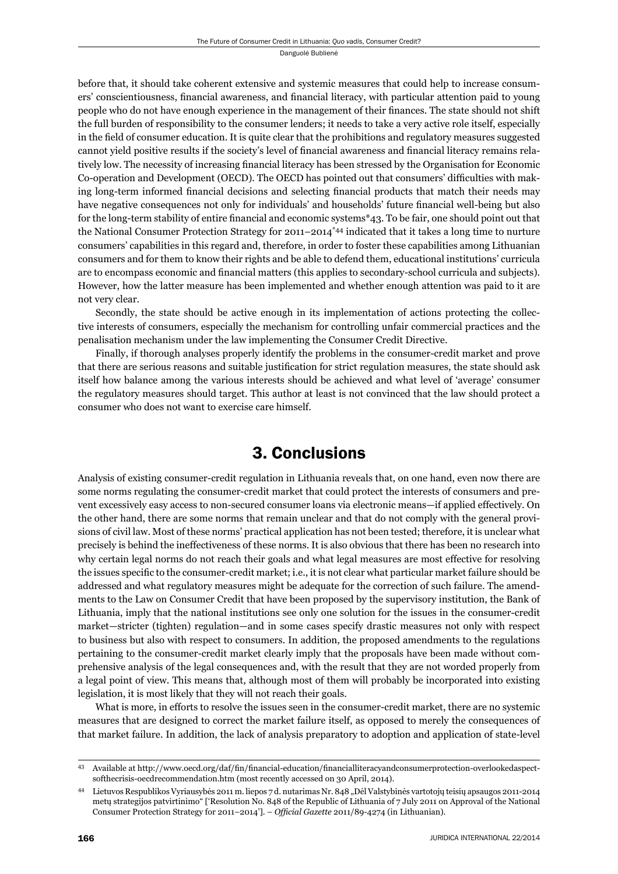before that, it should take coherent extensive and systemic measures that could help to increase consumers' conscientiousness, financial awareness, and financial literacy, with particular attention paid to young people who do not have enough experience in the management of their finances. The state should not shift the full burden of responsibility to the consumer lenders; it needs to take a very active role itself, especially in the field of consumer education. It is quite clear that the prohibitions and regulatory measures suggested cannot yield positive results if the society's level of financial awareness and financial literacy remains relatively low. The necessity of increasing financial literacy has been stressed by the Organisation for Economic Co-operation and Development (OECD). The OECD has pointed out that consumers' difficulties with making long-term informed financial decisions and selecting financial products that match their needs may have negative consequences not only for individuals' and households' future financial well-being but also for the long-term stability of entire financial and economic systems $*$ 43. To be fair, one should point out that the National Consumer Protection Strategy for  $2011-2014^{44}$  indicated that it takes a long time to nurture consumers' capabilities in this regard and, therefore, in order to foster these capabilities among Lithuanian consumers and for them to know their rights and be able to defend them, educational institutions' curricula are to encompass economic and financial matters (this applies to secondary-school curricula and subjects). However, how the latter measure has been implemented and whether enough attention was paid to it are not very clear.

Secondly, the state should be active enough in its implementation of actions protecting the collective interests of consumers, especially the mechanism for controlling unfair commercial practices and the penalisation mechanism under the law implementing the Consumer Credit Directive.

Finally, if thorough analyses properly identify the problems in the consumer-credit market and prove that there are serious reasons and suitable justification for strict regulation measures, the state should ask itself how balance among the various interests should be achieved and what level of 'average' consumer the regulatory measures should target. This author at least is not convinced that the law should protect a consumer who does not want to exercise care himself.

# 3. Conclusions

Analysis of existing consumer-credit regulation in Lithuania reveals that, on one hand, even now there are some norms regulating the consumer-credit market that could protect the interests of consumers and prevent excessively easy access to non-secured consumer loans via electronic means—if applied effectively. On the other hand, there are some norms that remain unclear and that do not comply with the general provisions of civil law. Most of these norms' practical application has not been tested; therefore, it is unclear what precisely is behind the ineffectiveness of these norms. It is also obvious that there has been no research into why certain legal norms do not reach their goals and what legal measures are most effective for resolving the issues specific to the consumer-credit market; i.e., it is not clear what particular market failure should be addressed and what regulatory measures might be adequate for the correction of such failure. The amendments to the Law on Consumer Credit that have been proposed by the supervisory institution, the Bank of Lithuania, imply that the national institutions see only one solution for the issues in the consumer-credit market—stricter (tighten) regulation—and in some cases specify drastic measures not only with respect to business but also with respect to consumers. In addition, the proposed amendments to the regulations pertaining to the consumer-credit market clearly imply that the proposals have been made without comprehensive analysis of the legal consequences and, with the result that they are not worded properly from a legal point of view. This means that, although most of them will probably be incorporated into existing legislation, it is most likely that they will not reach their goals.

What is more, in efforts to resolve the issues seen in the consumer-credit market, there are no systemic measures that are designed to correct the market failure itself, as opposed to merely the consequences of that market failure. In addition, the lack of analysis preparatory to adoption and application of state-level

<sup>43</sup> Available at http://www.oecd.org/daf/fin/financial-education/financialliteracyandconsumerprotection-overlookedaspectsofthecrisis-oecdrecommendation.htm (most recently accessed on 30 April, 2014).

<sup>44</sup> Lietuvos Respublikos Vyriausybės 2011 m. liepos 7 d. nutarimas Nr. 848 "Dėl Valstybinės vartotojų teisių apsaugos 2011-2014 metų strategijos patvirtinimo" ['Resolution No. 848 of the Republic of Lithuania of 7 July 2011 on Approval of the National Consumer Protection Strategy for 2011-2014']. - Official Gazette 2011/89-4274 (in Lithuanian).